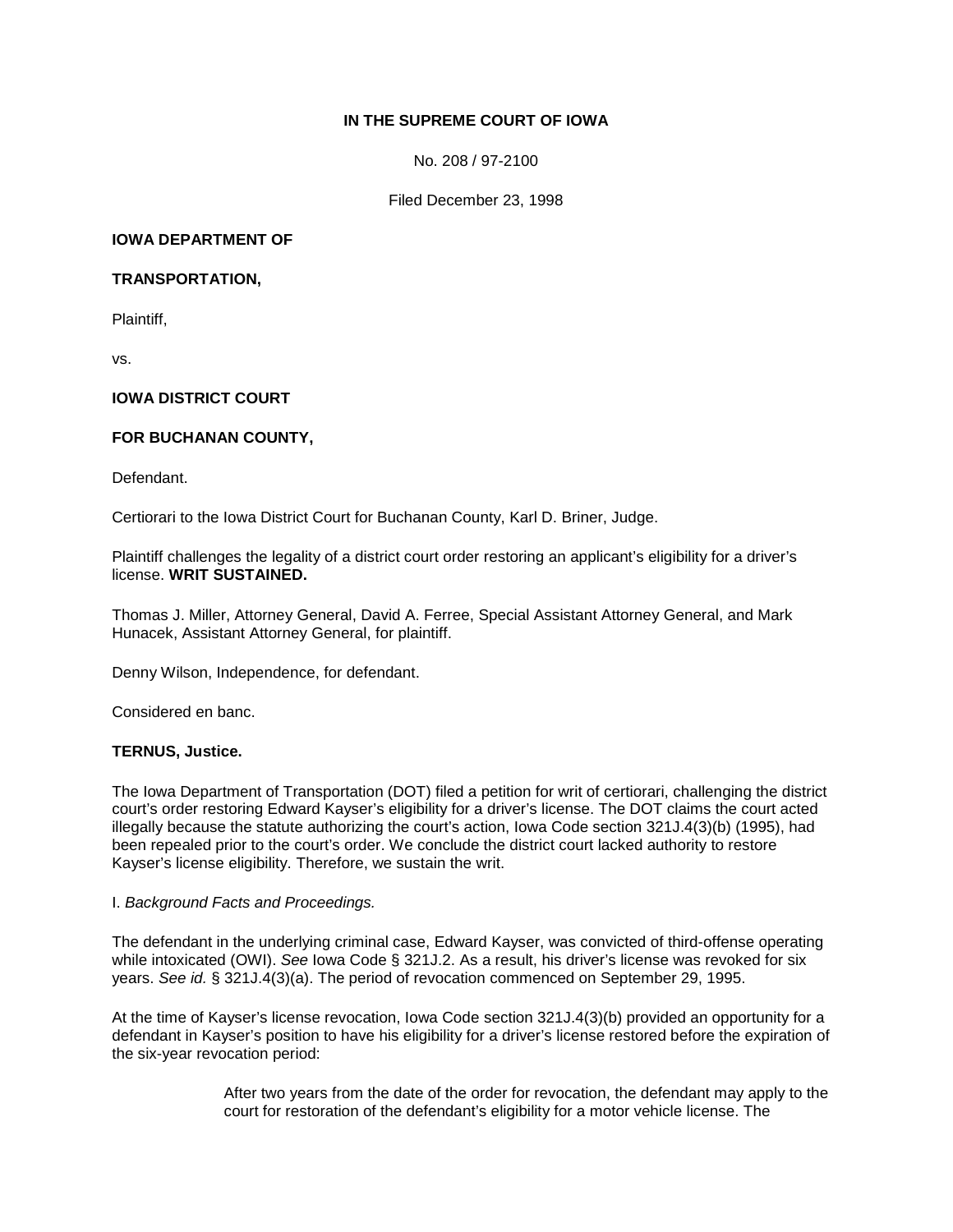# **IN THE SUPREME COURT OF IOWA**

No. 208 / 97-2100

Filed December 23, 1998

# **IOWA DEPARTMENT OF**

### **TRANSPORTATION,**

Plaintiff,

vs.

# **IOWA DISTRICT COURT**

### **FOR BUCHANAN COUNTY,**

Defendant.

Certiorari to the Iowa District Court for Buchanan County, Karl D. Briner, Judge.

Plaintiff challenges the legality of a district court order restoring an applicant's eligibility for a driver's license. **WRIT SUSTAINED.**

Thomas J. Miller, Attorney General, David A. Ferree, Special Assistant Attorney General, and Mark Hunacek, Assistant Attorney General, for plaintiff.

Denny Wilson, Independence, for defendant.

Considered en banc.

#### **TERNUS, Justice.**

The Iowa Department of Transportation (DOT) filed a petition for writ of certiorari, challenging the district court's order restoring Edward Kayser's eligibility for a driver's license. The DOT claims the court acted illegally because the statute authorizing the court's action, Iowa Code section 321J.4(3)(b) (1995), had been repealed prior to the court's order. We conclude the district court lacked authority to restore Kayser's license eligibility. Therefore, we sustain the writ.

#### I. *Background Facts and Proceedings.*

The defendant in the underlying criminal case, Edward Kayser, was convicted of third-offense operating while intoxicated (OWI). *See* Iowa Code § 321J.2. As a result, his driver's license was revoked for six years. *See id.* § 321J.4(3)(a). The period of revocation commenced on September 29, 1995.

At the time of Kayser's license revocation, Iowa Code section 321J.4(3)(b) provided an opportunity for a defendant in Kayser's position to have his eligibility for a driver's license restored before the expiration of the six-year revocation period:

> After two years from the date of the order for revocation, the defendant may apply to the court for restoration of the defendant's eligibility for a motor vehicle license. The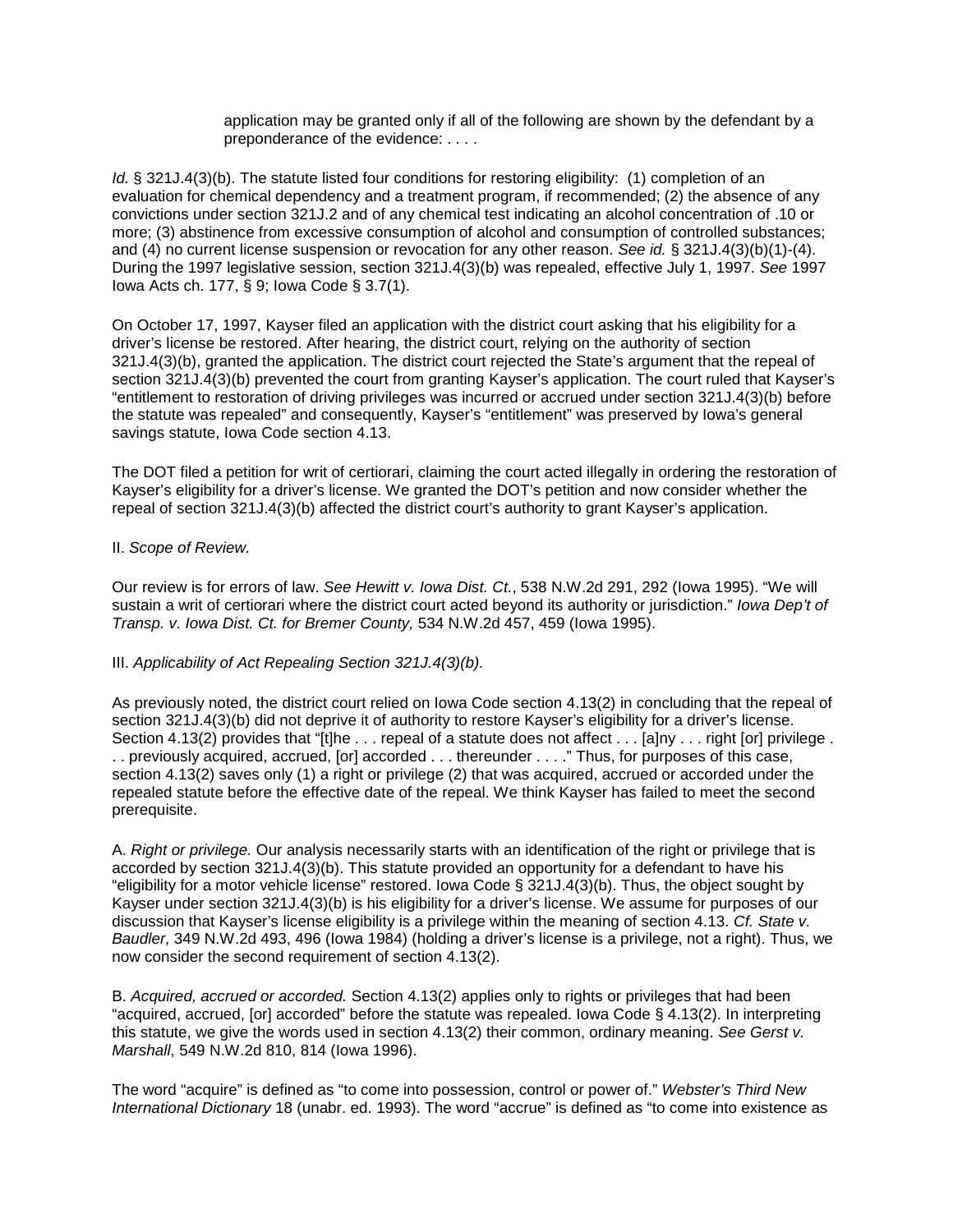application may be granted only if all of the following are shown by the defendant by a preponderance of the evidence: . . . .

*Id.* § 321J.4(3)(b). The statute listed four conditions for restoring eligibility: (1) completion of an evaluation for chemical dependency and a treatment program, if recommended; (2) the absence of any convictions under section 321J.2 and of any chemical test indicating an alcohol concentration of .10 or more; (3) abstinence from excessive consumption of alcohol and consumption of controlled substances; and (4) no current license suspension or revocation for any other reason. *See id.* § 321J.4(3)(b)(1)-(4). During the 1997 legislative session, section 321J.4(3)(b) was repealed, effective July 1, 1997. *See* 1997 Iowa Acts ch. 177, § 9; Iowa Code § 3.7(1).

On October 17, 1997, Kayser filed an application with the district court asking that his eligibility for a driver's license be restored. After hearing, the district court, relying on the authority of section 321J.4(3)(b), granted the application. The district court rejected the State's argument that the repeal of section 321J.4(3)(b) prevented the court from granting Kayser's application. The court ruled that Kayser's "entitlement to restoration of driving privileges was incurred or accrued under section 321J.4(3)(b) before the statute was repealed" and consequently, Kayser's "entitlement" was preserved by Iowa's general savings statute, Iowa Code section 4.13.

The DOT filed a petition for writ of certiorari, claiming the court acted illegally in ordering the restoration of Kayser's eligibility for a driver's license. We granted the DOT's petition and now consider whether the repeal of section 321J.4(3)(b) affected the district court's authority to grant Kayser's application.

#### II. *Scope of Review.*

Our review is for errors of law. *See Hewitt v. Iowa Dist. Ct.*, 538 N.W.2d 291, 292 (Iowa 1995). "We will sustain a writ of certiorari where the district court acted beyond its authority or jurisdiction." *Iowa Dep't of Transp. v. Iowa Dist. Ct. for Bremer County,* 534 N.W.2d 457, 459 (Iowa 1995).

#### III. *Applicability of Act Repealing Section 321J.4(3)(b).*

As previously noted, the district court relied on Iowa Code section 4.13(2) in concluding that the repeal of section 321J.4(3)(b) did not deprive it of authority to restore Kayser's eligibility for a driver's license. Section 4.13(2) provides that "[t]he . . . repeal of a statute does not affect . . . [a]ny . . . right [or] privilege . . . previously acquired, accrued, [or] accorded . . . thereunder . . . ." Thus, for purposes of this case, section 4.13(2) saves only (1) a right or privilege (2) that was acquired, accrued or accorded under the repealed statute before the effective date of the repeal. We think Kayser has failed to meet the second prerequisite.

A. *Right or privilege.* Our analysis necessarily starts with an identification of the right or privilege that is accorded by section 321J.4(3)(b). This statute provided an opportunity for a defendant to have his "eligibility for a motor vehicle license" restored. Iowa Code § 321J.4(3)(b). Thus, the object sought by Kayser under section 321J.4(3)(b) is his eligibility for a driver's license. We assume for purposes of our discussion that Kayser's license eligibility is a privilege within the meaning of section 4.13. *Cf. State v. Baudler,* 349 N.W.2d 493, 496 (Iowa 1984) (holding a driver's license is a privilege, not a right). Thus, we now consider the second requirement of section 4.13(2).

B. *Acquired, accrued or accorded.* Section 4.13(2) applies only to rights or privileges that had been "acquired, accrued, [or] accorded" before the statute was repealed. Iowa Code § 4.13(2). In interpreting this statute, we give the words used in section 4.13(2) their common, ordinary meaning. *See Gerst v. Marshall*, 549 N.W.2d 810, 814 (Iowa 1996).

The word "acquire" is defined as "to come into possession, control or power of." *Webster's Third New International Dictionary* 18 (unabr. ed. 1993). The word "accrue" is defined as "to come into existence as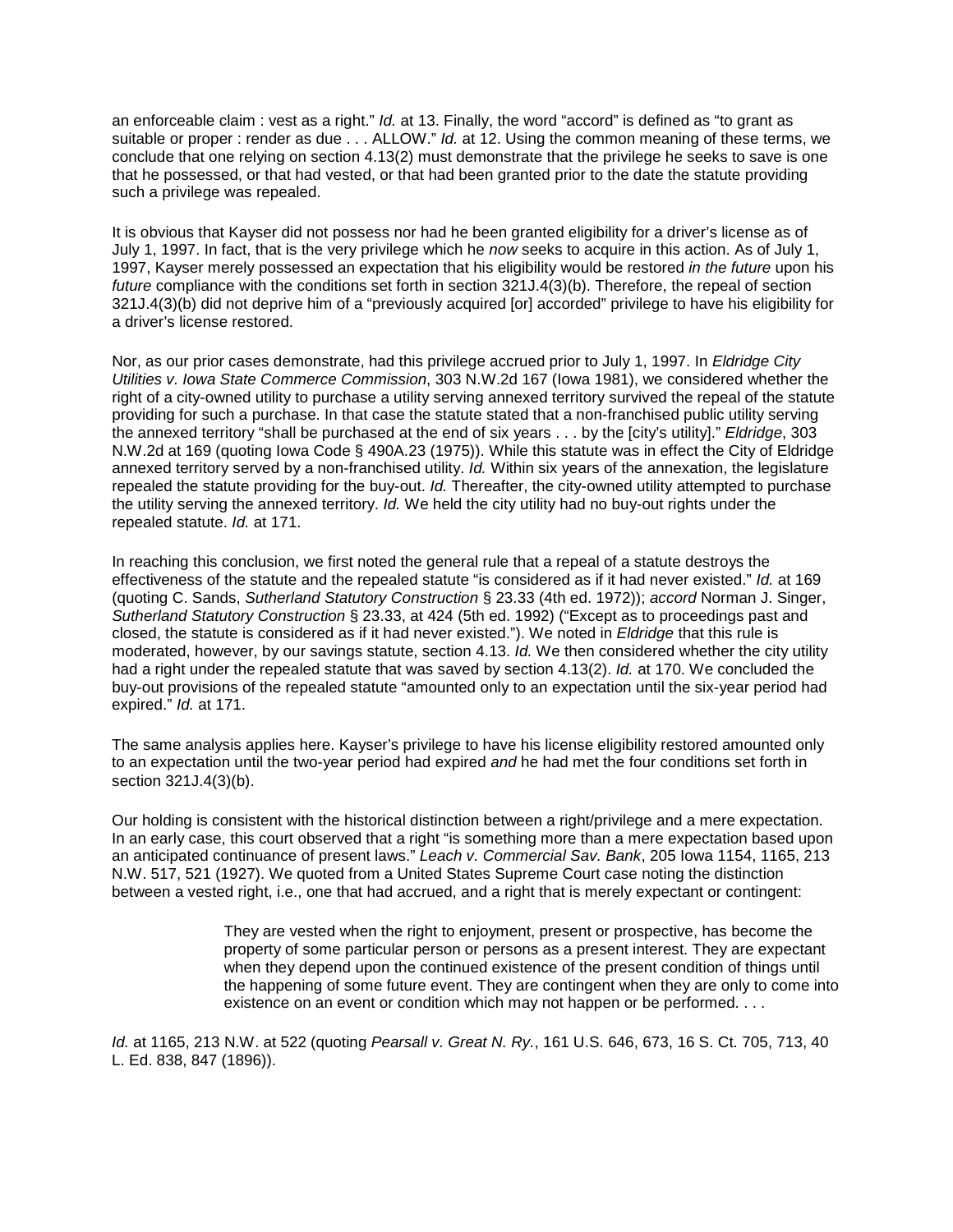an enforceable claim : vest as a right." *Id.* at 13. Finally, the word "accord" is defined as "to grant as suitable or proper : render as due . . . ALLOW." *Id.* at 12. Using the common meaning of these terms, we conclude that one relying on section 4.13(2) must demonstrate that the privilege he seeks to save is one that he possessed, or that had vested, or that had been granted prior to the date the statute providing such a privilege was repealed.

It is obvious that Kayser did not possess nor had he been granted eligibility for a driver's license as of July 1, 1997. In fact, that is the very privilege which he *now* seeks to acquire in this action. As of July 1, 1997, Kayser merely possessed an expectation that his eligibility would be restored *in the future* upon his *future* compliance with the conditions set forth in section 321J.4(3)(b). Therefore, the repeal of section 321J.4(3)(b) did not deprive him of a "previously acquired [or] accorded" privilege to have his eligibility for a driver's license restored.

Nor, as our prior cases demonstrate, had this privilege accrued prior to July 1, 1997. In *Eldridge City Utilities v. Iowa State Commerce Commission*, 303 N.W.2d 167 (Iowa 1981), we considered whether the right of a city-owned utility to purchase a utility serving annexed territory survived the repeal of the statute providing for such a purchase. In that case the statute stated that a non-franchised public utility serving the annexed territory "shall be purchased at the end of six years . . . by the [city's utility]." *Eldridge*, 303 N.W.2d at 169 (quoting Iowa Code § 490A.23 (1975)). While this statute was in effect the City of Eldridge annexed territory served by a non-franchised utility. *Id.* Within six years of the annexation, the legislature repealed the statute providing for the buy-out. *Id.* Thereafter, the city-owned utility attempted to purchase the utility serving the annexed territory. *Id.* We held the city utility had no buy-out rights under the repealed statute. *Id.* at 171.

In reaching this conclusion, we first noted the general rule that a repeal of a statute destroys the effectiveness of the statute and the repealed statute "is considered as if it had never existed." *Id.* at 169 (quoting C. Sands, *Sutherland Statutory Construction* § 23.33 (4th ed. 1972)); *accord* Norman J. Singer, *Sutherland Statutory Construction* § 23.33, at 424 (5th ed. 1992) ("Except as to proceedings past and closed, the statute is considered as if it had never existed."). We noted in *Eldridge* that this rule is moderated, however, by our savings statute, section 4.13. *Id.* We then considered whether the city utility had a right under the repealed statute that was saved by section 4.13(2). *Id.* at 170. We concluded the buy-out provisions of the repealed statute "amounted only to an expectation until the six-year period had expired." *Id.* at 171.

The same analysis applies here. Kayser's privilege to have his license eligibility restored amounted only to an expectation until the two-year period had expired *and* he had met the four conditions set forth in section 321J.4(3)(b).

Our holding is consistent with the historical distinction between a right/privilege and a mere expectation. In an early case, this court observed that a right "is something more than a mere expectation based upon an anticipated continuance of present laws." *Leach v. Commercial Sav. Bank*, 205 Iowa 1154, 1165, 213 N.W. 517, 521 (1927). We quoted from a United States Supreme Court case noting the distinction between a vested right, i.e., one that had accrued, and a right that is merely expectant or contingent:

> They are vested when the right to enjoyment, present or prospective, has become the property of some particular person or persons as a present interest. They are expectant when they depend upon the continued existence of the present condition of things until the happening of some future event. They are contingent when they are only to come into existence on an event or condition which may not happen or be performed. . . .

*Id.* at 1165, 213 N.W. at 522 (quoting *Pearsall v. Great N. Ry.*, 161 U.S. 646, 673, 16 S. Ct. 705, 713, 40 L. Ed. 838, 847 (1896)).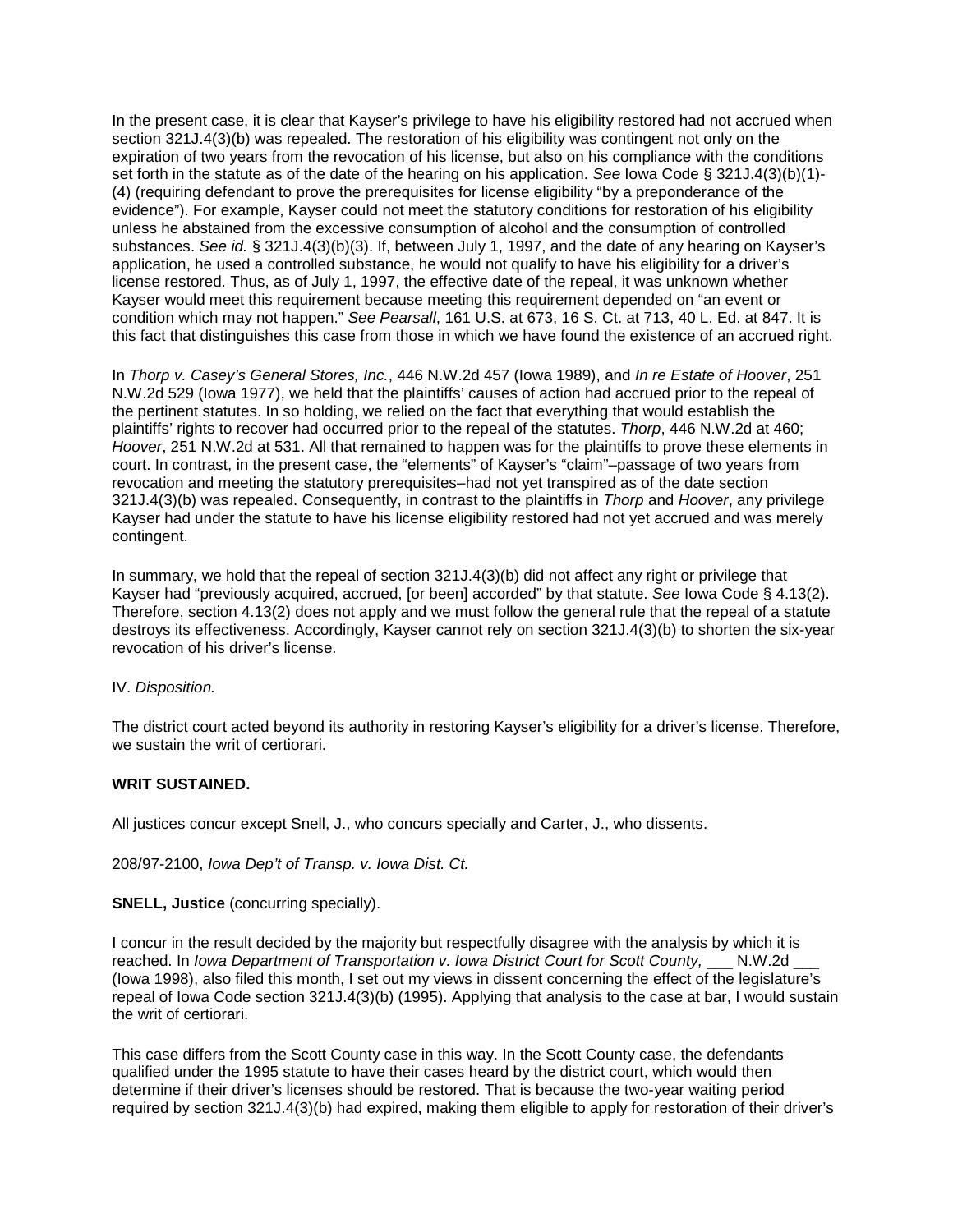In the present case, it is clear that Kayser's privilege to have his eligibility restored had not accrued when section 321J.4(3)(b) was repealed. The restoration of his eligibility was contingent not only on the expiration of two years from the revocation of his license, but also on his compliance with the conditions set forth in the statute as of the date of the hearing on his application. *See* Iowa Code § 321J.4(3)(b)(1)- (4) (requiring defendant to prove the prerequisites for license eligibility "by a preponderance of the evidence"). For example, Kayser could not meet the statutory conditions for restoration of his eligibility unless he abstained from the excessive consumption of alcohol and the consumption of controlled substances. *See id.* § 321J.4(3)(b)(3). If, between July 1, 1997, and the date of any hearing on Kayser's application, he used a controlled substance, he would not qualify to have his eligibility for a driver's license restored. Thus, as of July 1, 1997, the effective date of the repeal, it was unknown whether Kayser would meet this requirement because meeting this requirement depended on "an event or condition which may not happen." *See Pearsall*, 161 U.S. at 673, 16 S. Ct. at 713, 40 L. Ed. at 847. It is this fact that distinguishes this case from those in which we have found the existence of an accrued right.

In *Thorp v. Casey's General Stores, Inc.*, 446 N.W.2d 457 (Iowa 1989), and *In re Estate of Hoover*, 251 N.W.2d 529 (Iowa 1977), we held that the plaintiffs' causes of action had accrued prior to the repeal of the pertinent statutes. In so holding, we relied on the fact that everything that would establish the plaintiffs' rights to recover had occurred prior to the repeal of the statutes. *Thorp*, 446 N.W.2d at 460; *Hoover*, 251 N.W.2d at 531. All that remained to happen was for the plaintiffs to prove these elements in court. In contrast, in the present case, the "elements" of Kayser's "claim"–passage of two years from revocation and meeting the statutory prerequisites–had not yet transpired as of the date section 321J.4(3)(b) was repealed. Consequently, in contrast to the plaintiffs in *Thorp* and *Hoover*, any privilege Kayser had under the statute to have his license eligibility restored had not yet accrued and was merely contingent.

In summary, we hold that the repeal of section 321J.4(3)(b) did not affect any right or privilege that Kayser had "previously acquired, accrued, [or been] accorded" by that statute. *See* Iowa Code § 4.13(2). Therefore, section 4.13(2) does not apply and we must follow the general rule that the repeal of a statute destroys its effectiveness. Accordingly, Kayser cannot rely on section 321J.4(3)(b) to shorten the six-year revocation of his driver's license.

#### IV. *Disposition.*

The district court acted beyond its authority in restoring Kayser's eligibility for a driver's license. Therefore, we sustain the writ of certiorari.

#### **WRIT SUSTAINED.**

All justices concur except Snell, J., who concurs specially and Carter, J., who dissents.

208/97-2100, *Iowa Dep't of Transp. v. Iowa Dist. Ct.*

**SNELL, Justice** (concurring specially).

I concur in the result decided by the majority but respectfully disagree with the analysis by which it is reached. In *Iowa Department of Transportation v. Iowa District Court for Scott County,* \_\_\_ N.W.2d \_\_\_ (Iowa 1998), also filed this month, I set out my views in dissent concerning the effect of the legislature's repeal of Iowa Code section 321J.4(3)(b) (1995). Applying that analysis to the case at bar, I would sustain the writ of certiorari.

This case differs from the Scott County case in this way. In the Scott County case, the defendants qualified under the 1995 statute to have their cases heard by the district court, which would then determine if their driver's licenses should be restored. That is because the two-year waiting period required by section 321J.4(3)(b) had expired, making them eligible to apply for restoration of their driver's